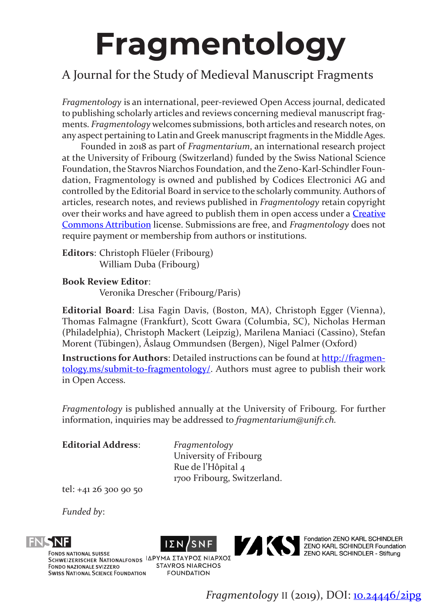# **Fragmentology**

## A Journal for the Study of Medieval Manuscript Fragments

*Fragmentology* is an international, peer-reviewed Open Access journal, dedicated to publishing scholarly articles and reviews concerning medieval manuscript fragments. *Fragmentology* welcomes submissions, both articles and research notes, on any aspect pertaining to Latin and Greek manuscript fragments in the Middle Ages.

Founded in 2018 as part of *Fragmentarium*, an international research project at the University of Fribourg (Switzerland) funded by the Swiss National Science Foundation, the Stavros Niarchos Foundation, and the Zeno-Karl-Schindler Foundation, Fragmentology is owned and published by Codices Electronici AG and controlled by the Editorial Board in service to the scholarly community. Authors of articles, research notes, and reviews published in *Fragmentology* retain copyright over their works and have agreed to publish them in open access under a **Creative** [Commons Attribution](https://creativecommons.org/licenses/by/4.0/) license. Submissions are free, and *Fragmentology* does not require payment or membership from authors or institutions.

**Editors**: Christoph Flüeler (Fribourg) William Duba (Fribourg)

#### **Book Review Editor**:

Veronika Drescher (Fribourg/Paris)

**Editorial Board**: Lisa Fagin Davis, (Boston, MA), Christoph Egger (Vienna), Thomas Falmagne (Frankfurt), Scott Gwara (Columbia, SC), Nicholas Herman (Philadelphia), Christoph Mackert (Leipzig), Marilena Maniaci (Cassino), Stefan Morent (Tübingen), Åslaug Ommundsen (Bergen), Nigel Palmer (Oxford)

**Instructions for Authors**: Detailed instructions can be found at [http://fragmen](http://fragmentology.ms/submit-to-fragmentology/)[tology.ms/submit-to-fragmentology/.](http://fragmentology.ms/submit-to-fragmentology/) Authors must agree to publish their work in Open Access.

*Fragmentology* is published annually at the University of Fribourg. For further information, inquiries may be addressed to *fragmentarium@unifr.ch.*

**Editorial Address**: *Fragmentology*

University of Fribourg Rue de l'Hôpital 4 1700 Fribourg, Switzerland.

tel: +41 26 300 90 50

*Funded by*:







**STAVROS NIARCHOS** 



Fondation ZENO KARL SCHINDLER<br>ZENO KARL SCHINDLER Foundation<br>ZENO KARL SCHINDLER - Stiftung

**FOUNDATION** *Fragmentology* II (2019), DOI: [10.24446/2i](https://dx.doi.org/10.24446/2nbp)pg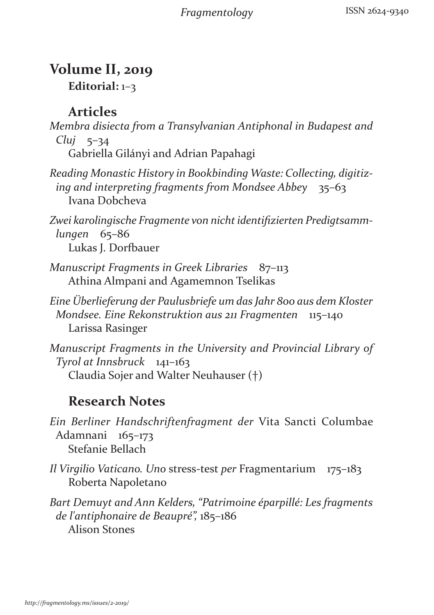*Fragmentology*

#### **Volume II, 2019 Editorial:** 1–3

## **Articles**

*Membra disiecta from a Transylvanian Antiphonal in Budapest and Cluj* 5–34 Gabriella Gilányi and Adrian Papahagi

- *Reading Monastic History in Bookbinding Waste: Collecting, digitizing and interpreting fragments from Mondsee Abbey* 35–63 Ivana Dobcheva
- *Zwei karolingische Fragmente von nicht identifizierten Predigtsammlungen* 65–86 Lukas J. Dorfbauer
- *Manuscript Fragments in Greek Libraries* 87–113 Athina Almpani and Agamemnon Tselikas
- *Eine Überlieferung der Paulusbriefe um das Jahr 800 aus dem Kloster Mondsee. Eine Rekonstruktion aus 211 Fragmenten* 115–140 Larissa Rasinger
- *Manuscript Fragments in the University and Provincial Library of Tyrol at Innsbruck* 141–163 Claudia Sojer and Walter Neuhauser (†)

# **Research Notes**

*Ein Berliner Handschriftenfragment der* Vita Sancti Columbae Adamnani 165–173 Stefanie Bellach

*Il Virgilio Vaticano. Uno* stress-test *per* Fragmentarium 175–183 Roberta Napoletano

*Bart Demuyt and Ann Kelders, "Patrimoine éparpillé: Les fragments de l'antiphonaire de Beaupré",* 185–186 Alison Stones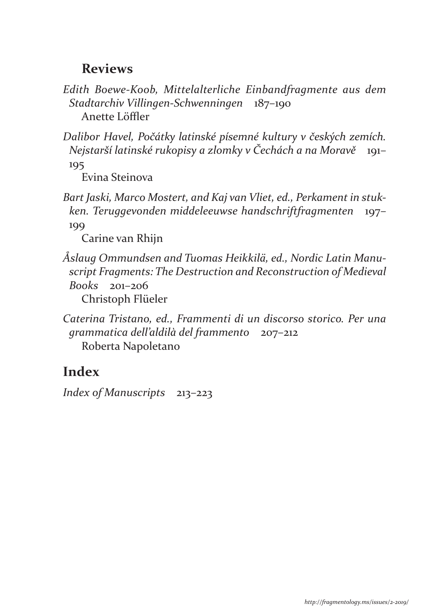#### **Reviews**

*Edith Boewe-Koob, Mittelalterliche Einbandfragmente aus dem Stadtarchiv Villingen-Schwenningen* 187–190 Anette Löffler

*Dalibor Havel, Počátky latinské písemné kultury v českých zemích. Nejstarší latinské rukopisy a zlomky v Čechách a na Moravě* 191– 195

Evina Steinova

*Bart Jaski, Marco Mostert, and Kaj van Vliet, ed., Perkament in stukken. Teruggevonden middeleeuwse handschriftfragmenten* 197– 199

Carine van Rhijn

*Åslaug Ommundsen and Tuomas Heikkilä, ed., Nordic Latin Manuscript Fragments: The Destruction and Reconstruction of Medieval Books* 201–206

Christoph Flüeler

*Caterina Tristano, ed., Frammenti di un discorso storico. Per una grammatica dell'aldilà del frammento* 207–212 Roberta Napoletano

# **Index**

*Index of Manuscripts* 213–223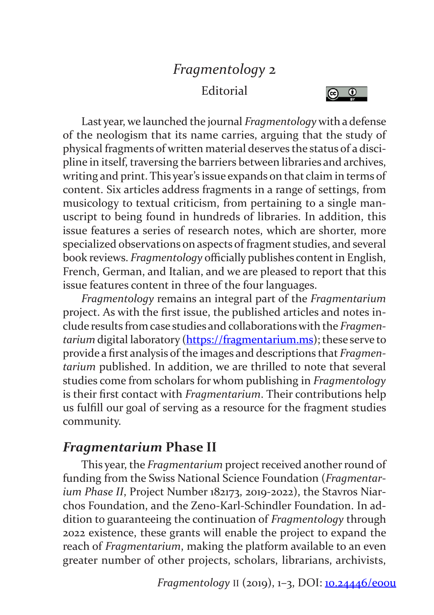# *Fragmentology* 2 **Editorial**



Last year, we launched the journal *Fragmentology* with a defense of the neologism that its name carries, arguing that the study of physical fragments of written material deserves the status of a discipline in itself, traversing the barriers between libraries and archives, writing and print. This year's issue expands on that claim in terms of content. Six articles address fragments in a range of settings, from musicology to textual criticism, from pertaining to a single manuscript to being found in hundreds of libraries. In addition, this issue features a series of research notes, which are shorter, more specialized observations on aspects of fragment studies, and several book reviews. *Fragmentology* officially publishes content in English, French, German, and Italian, and we are pleased to report that this issue features content in three of the four languages.

*Fragmentology* remains an integral part of the *Fragmentarium*  project. As with the first issue, the published articles and notes include results from case studies and collaborations with the *Fragmentarium* digital laboratory [\(https://fragmentarium.ms](https://fragmentarium.ms)); these serve to provide a first analysis of the images and descriptions that *Fragmentarium* published. In addition, we are thrilled to note that several studies come from scholars for whom publishing in *Fragmentology* is their first contact with *Fragmentarium*. Their contributions help us fulfill our goal of serving as a resource for the fragment studies community.

## *Fragmentarium* **Phase II**

This year, the *Fragmentarium* project received another round of funding from the Swiss National Science Foundation (*Fragmentarium Phase II*, Project Number 182173, 2019-2022), the Stavros Niarchos Foundation, and the Zeno-Karl-Schindler Foundation. In addition to guaranteeing the continuation of *Fragmentology* through 2022 existence, these grants will enable the project to expand the reach of *Fragmentarium*, making the platform available to an even greater number of other projects, scholars, librarians, archivists,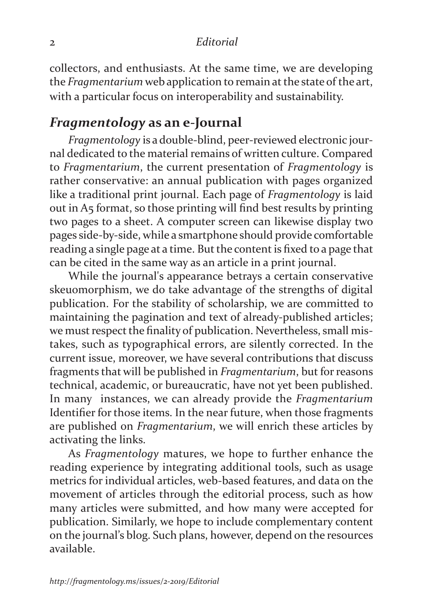#### 2 *Editorial*

collectors, and enthusiasts. At the same time, we are developing the *Fragmentarium* web application to remain at the state of the art, with a particular focus on interoperability and sustainability.

#### *Fragmentology* **as an e-Journal**

*Fragmentology* is a double-blind, peer-reviewed electronic journal dedicated to the material remains of written culture. Compared to *Fragmentarium*, the current presentation of *Fragmentology* is rather conservative: an annual publication with pages organized like a traditional print journal. Each page of *Fragmentology* is laid out in A5 format, so those printing will find best results by printing two pages to a sheet. A computer screen can likewise display two pages side-by-side, while a smartphone should provide comfortable reading a single page at a time. But the content is fixed to a page that can be cited in the same way as an article in a print journal.

While the journal's appearance betrays a certain conservative skeuomorphism, we do take advantage of the strengths of digital publication. For the stability of scholarship, we are committed to maintaining the pagination and text of already-published articles; we must respect the finality of publication. Nevertheless, small mistakes, such as typographical errors, are silently corrected. In the current issue, moreover, we have several contributions that discuss fragments that will be published in *Fragmentarium*, but for reasons technical, academic, or bureaucratic, have not yet been published. In many instances, we can already provide the *Fragmentarium* Identifier for those items. In the near future, when those fragments are published on *Fragmentarium*, we will enrich these articles by activating the links.

As *Fragmentology* matures, we hope to further enhance the reading experience by integrating additional tools, such as usage metrics for individual articles, web-based features, and data on the movement of articles through the editorial process, such as how many articles were submitted, and how many were accepted for publication. Similarly, we hope to include complementary content on the journal's blog. Such plans, however, depend on the resources available.